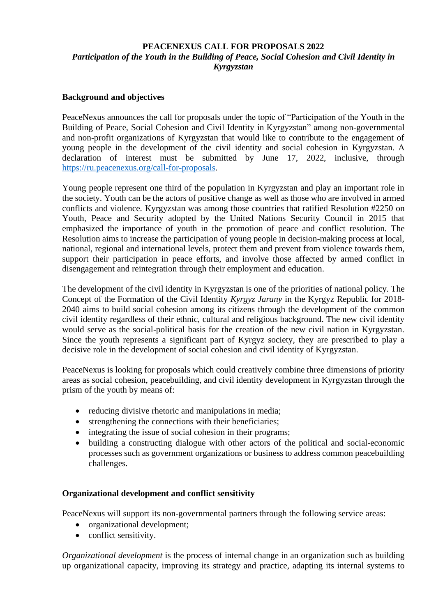### **PEACENEXUS CALL FOR PROPOSALS 2022** *Participation of the Youth in the Building of Peace, Social Cohesion and Civil Identity in Kyrgyzstan*

#### **Background and objectives**

PeaceNexus announces the call for proposals under the topic of "Participation of the Youth in the Building of Peace, Social Cohesion and Civil Identity in Kyrgyzstan" among non-governmental and non-profit organizations of Kyrgyzstan that would like to contribute to the engagement of young people in the development of the civil identity and social cohesion in Kyrgyzstan. A declaration of interest must be submitted by June 17, 2022, inclusive, through [https://ru.peacenexus.org/call-for-proposals.](https://ru.cenexus.org/call-for-proposals)

Young people represent one third of the population in Kyrgyzstan and play an important role in the society. Youth can be the actors of positive change as well as those who are involved in armed conflicts and violence. Kyrgyzstan was among those countries that ratified Resolution #2250 on Youth, Peace and Security adopted by the United Nations Security Council in 2015 that emphasized the importance of youth in the promotion of peace and conflict resolution. The Resolution aims to increase the participation of young people in decision-making process at local, national, regional and international levels, protect them and prevent from violence towards them, support their participation in peace efforts, and involve those affected by armed conflict in disengagement and reintegration through their employment and education.

The development of the civil identity in Kyrgyzstan is one of the priorities of national policy. The Concept of the Formation of the Civil Identity *Kyrgyz Jarany* in the Kyrgyz Republic for 2018- 2040 aims to build social cohesion among its citizens through the development of the common civil identity regardless of their ethnic, cultural and religious background. The new civil identity would serve as the social-political basis for the creation of the new civil nation in Kyrgyzstan. Since the youth represents a significant part of Kyrgyz society, they are prescribed to play a decisive role in the development of social cohesion and civil identity of Kyrgyzstan.

PeaceNexus is looking for proposals which could creatively combine three dimensions of priority areas as social cohesion, peacebuilding, and civil identity development in Kyrgyzstan through the prism of the youth by means of:

- reducing divisive rhetoric and manipulations in media;
- strengthening the connections with their beneficiaries;
- integrating the issue of social cohesion in their programs;
- building a constructing dialogue with other actors of the political and social-economic processes such as government organizations or business to address common peacebuilding challenges.

#### **Organizational development and conflict sensitivity**

PeaceNexus will support its non-governmental partners through the following service areas:

- organizational development;
- conflict sensitivity.

*Organizational development* is the process of internal change in an organization such as building up organizational capacity, improving its strategy and practice, adapting its internal systems to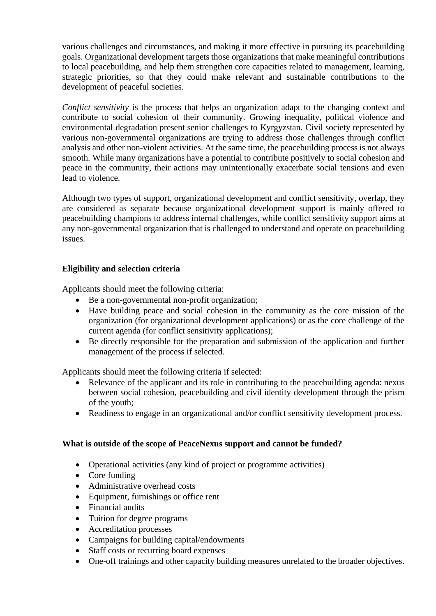various challenges and circumstances, and making it more effective in pursuing its peacebuilding goals. Organizational development targets those organizations that make meaningful contributions to local peacebuilding, and help them strengthen core capacities related to management, learning, strategic priorities, so that they could make relevant and sustainable contributions to the development of peaceful societies.

*Conflict sensitivity* is the process that helps an organization adapt to the changing context and contribute to social cohesion of their community. Growing inequality, political violence and environmental degradation present senior challenges to Kyrgyzstan. Civil society represented by various non-governmental organizations are trying to address those challenges through conflict analysis and other non-violent activities. At the same time, the peacebuilding process is not always smooth. While many organizations have a potential to contribute positively to social cohesion and peace in the community, their actions may unintentionally exacerbate social tensions and even lead to violence.

Although two types of support, organizational development and conflict sensitivity, overlap, they are considered as separate because organizational development support is mainly offered to peacebuilding champions to address internal challenges, while conflict sensitivity support aims at any non-governmental organization that is challenged to understand and operate on peacebuilding issues.

### **Eligibility and selection criteria**

Applicants should meet the following criteria:

- Be a non-governmental non-profit organization;
- Have building peace and social cohesion in the community as the core mission of the organization (for organizational development applications) or as the core challenge of the current agenda (for conflict sensitivity applications);
- Be directly responsible for the preparation and submission of the application and further management of the process if selected.

Applicants should meet the following criteria if selected:

- Relevance of the applicant and its role in contributing to the peacebuilding agenda: nexus between social cohesion, peacebuilding and civil identity development through the prism of the youth;
- Readiness to engage in an organizational and/or conflict sensitivity development process.

#### **What is outside of the scope of PeaceNexus support and cannot be funded?**

- Operational activities (any kind of project or programme activities)
- Core funding
- Administrative overhead costs
- Equipment, furnishings or office rent
- Financial audits
- Tuition for degree programs
- Accreditation processes
- Campaigns for building capital/endowments
- Staff costs or recurring board expenses
- One-off trainings and other capacity building measures unrelated to the broader objectives.